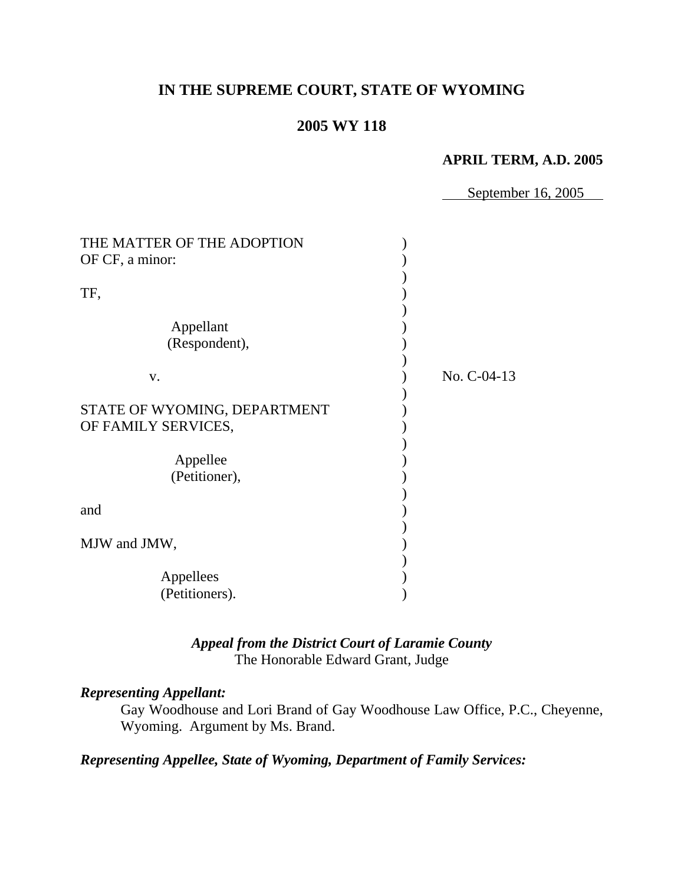# **IN THE SUPREME COURT, STATE OF WYOMING**

## **2005 WY 118**

#### **APRIL TERM, A.D. 2005**

September 16, 2005

| THE MATTER OF THE ADOPTION<br>OF CF, a minor: |             |
|-----------------------------------------------|-------------|
|                                               |             |
| TF,                                           |             |
| Appellant                                     |             |
| (Respondent),                                 |             |
| V.                                            | No. C-04-13 |
|                                               |             |
| STATE OF WYOMING, DEPARTMENT                  |             |
| OF FAMILY SERVICES,                           |             |
| Appellee                                      |             |
| (Petitioner),                                 |             |
|                                               |             |
| and                                           |             |
|                                               |             |
| MJW and JMW,                                  |             |
|                                               |             |
| Appellees                                     |             |
| (Petitioners).                                |             |

## *Appeal from the District Court of Laramie County* The Honorable Edward Grant, Judge

#### *Representing Appellant:*

Gay Woodhouse and Lori Brand of Gay Woodhouse Law Office, P.C., Cheyenne, Wyoming. Argument by Ms. Brand.

*Representing Appellee, State of Wyoming, Department of Family Services:*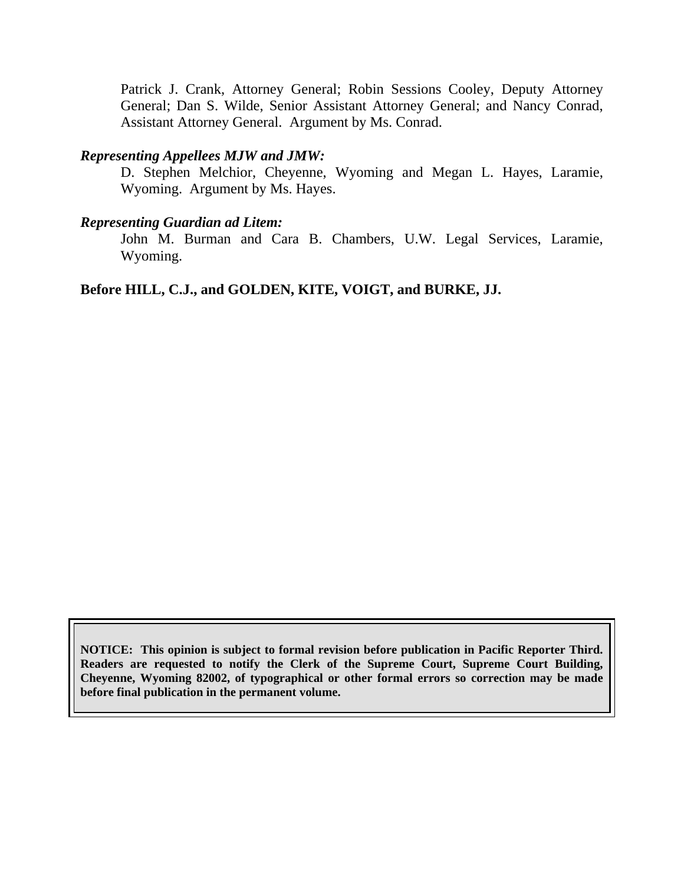Patrick J. Crank, Attorney General; Robin Sessions Cooley, Deputy Attorney General; Dan S. Wilde, Senior Assistant Attorney General; and Nancy Conrad, Assistant Attorney General. Argument by Ms. Conrad.

#### *Representing Appellees MJW and JMW:*

D. Stephen Melchior, Cheyenne, Wyoming and Megan L. Hayes, Laramie, Wyoming. Argument by Ms. Hayes.

#### *Representing Guardian ad Litem:*

John M. Burman and Cara B. Chambers, U.W. Legal Services, Laramie, Wyoming.

### **Before HILL, C.J., and GOLDEN, KITE, VOIGT, and BURKE, JJ.**

**NOTICE: This opinion is subject to formal revision before publication in Pacific Reporter Third. Readers are requested to notify the Clerk of the Supreme Court, Supreme Court Building, Cheyenne, Wyoming 82002, of typographical or other formal errors so correction may be made before final publication in the permanent volume.**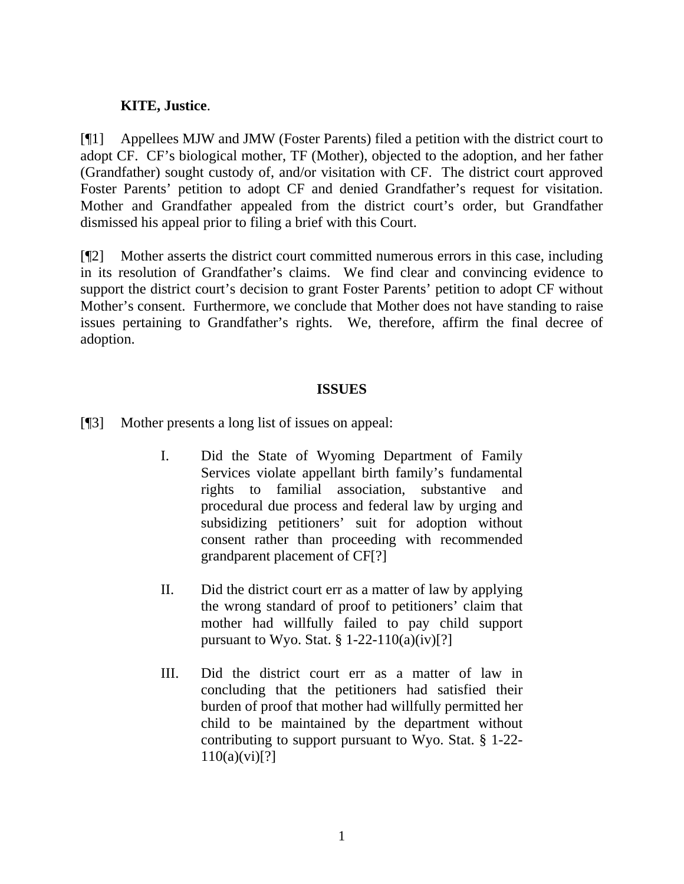### **KITE, Justice**.

[¶1] Appellees MJW and JMW (Foster Parents) filed a petition with the district court to adopt CF. CF's biological mother, TF (Mother), objected to the adoption, and her father (Grandfather) sought custody of, and/or visitation with CF. The district court approved Foster Parents' petition to adopt CF and denied Grandfather's request for visitation. Mother and Grandfather appealed from the district court's order, but Grandfather dismissed his appeal prior to filing a brief with this Court.

[¶2] Mother asserts the district court committed numerous errors in this case, including in its resolution of Grandfather's claims. We find clear and convincing evidence to support the district court's decision to grant Foster Parents' petition to adopt CF without Mother's consent. Furthermore, we conclude that Mother does not have standing to raise issues pertaining to Grandfather's rights. We, therefore, affirm the final decree of adoption.

### **ISSUES**

- [¶3] Mother presents a long list of issues on appeal:
	- I. Did the State of Wyoming Department of Family Services violate appellant birth family's fundamental rights to familial association, substantive and procedural due process and federal law by urging and subsidizing petitioners' suit for adoption without consent rather than proceeding with recommended grandparent placement of CF[?]
	- II. Did the district court err as a matter of law by applying the wrong standard of proof to petitioners' claim that mother had willfully failed to pay child support pursuant to Wyo. Stat.  $\S 1-22-110(a)(iv)[?]$
	- III. Did the district court err as a matter of law in concluding that the petitioners had satisfied their burden of proof that mother had willfully permitted her child to be maintained by the department without contributing to support pursuant to Wyo. Stat. § 1-22-  $110(a)(vi)[?]$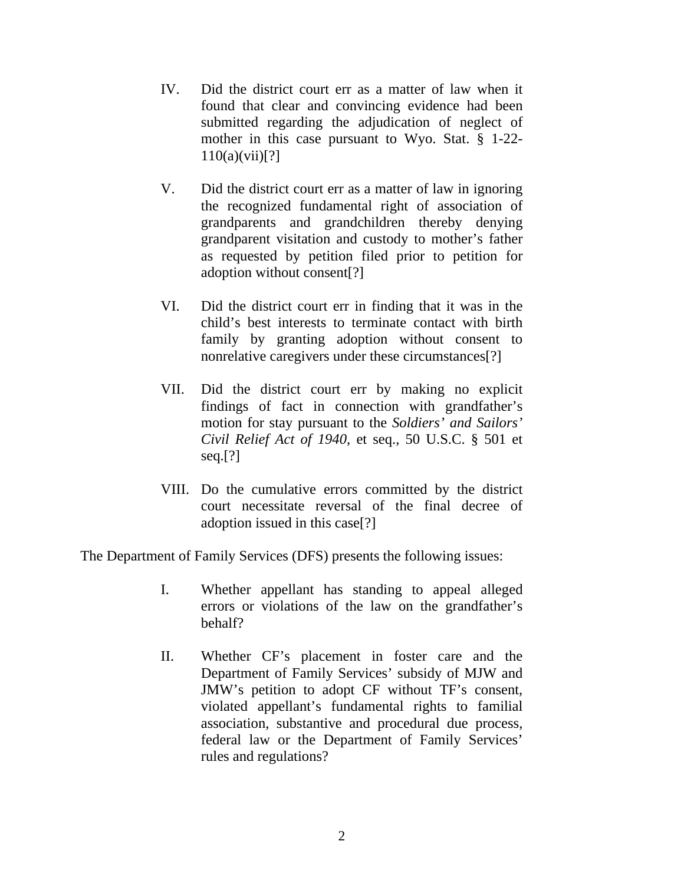- IV. Did the district court err as a matter of law when it found that clear and convincing evidence had been submitted regarding the adjudication of neglect of mother in this case pursuant to Wyo. Stat. § 1-22-  $110(a)(vii)[?]$
- V. Did the district court err as a matter of law in ignoring the recognized fundamental right of association of grandparents and grandchildren thereby denying grandparent visitation and custody to mother's father as requested by petition filed prior to petition for adoption without consent[?]
- VI. Did the district court err in finding that it was in the child's best interests to terminate contact with birth family by granting adoption without consent to nonrelative caregivers under these circumstances[?]
- VII. Did the district court err by making no explicit findings of fact in connection with grandfather's motion for stay pursuant to the *Soldiers' and Sailors' Civil Relief Act of 1940*, et seq., 50 U.S.C. § 501 et seq.[?]
- VIII. Do the cumulative errors committed by the district court necessitate reversal of the final decree of adoption issued in this case[?]

The Department of Family Services (DFS) presents the following issues:

- I. Whether appellant has standing to appeal alleged errors or violations of the law on the grandfather's behalf?
- II. Whether CF's placement in foster care and the Department of Family Services' subsidy of MJW and JMW's petition to adopt CF without TF's consent, violated appellant's fundamental rights to familial association, substantive and procedural due process, federal law or the Department of Family Services' rules and regulations?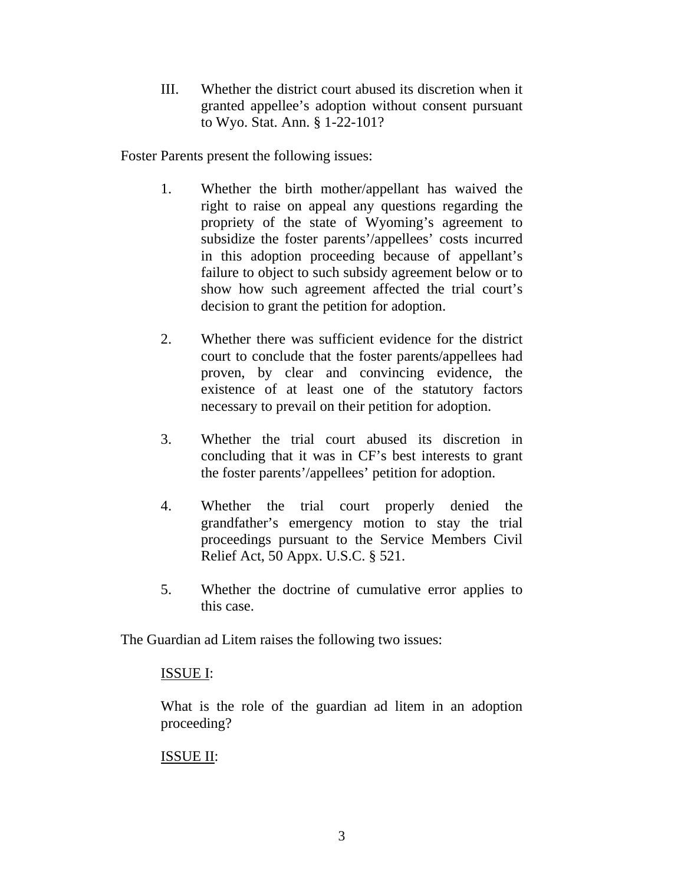III. Whether the district court abused its discretion when it granted appellee's adoption without consent pursuant to Wyo. Stat. Ann. § 1-22-101?

Foster Parents present the following issues:

- 1. Whether the birth mother/appellant has waived the right to raise on appeal any questions regarding the propriety of the state of Wyoming's agreement to subsidize the foster parents'/appellees' costs incurred in this adoption proceeding because of appellant's failure to object to such subsidy agreement below or to show how such agreement affected the trial court's decision to grant the petition for adoption.
- 2. Whether there was sufficient evidence for the district court to conclude that the foster parents/appellees had proven, by clear and convincing evidence, the existence of at least one of the statutory factors necessary to prevail on their petition for adoption.
- 3. Whether the trial court abused its discretion in concluding that it was in CF's best interests to grant the foster parents'/appellees' petition for adoption.
- 4. Whether the trial court properly denied the grandfather's emergency motion to stay the trial proceedings pursuant to the Service Members Civil Relief Act, 50 Appx. U.S.C. § 521.
- 5. Whether the doctrine of cumulative error applies to this case.

The Guardian ad Litem raises the following two issues:

### ISSUE I:

What is the role of the guardian ad litem in an adoption proceeding?

## ISSUE II: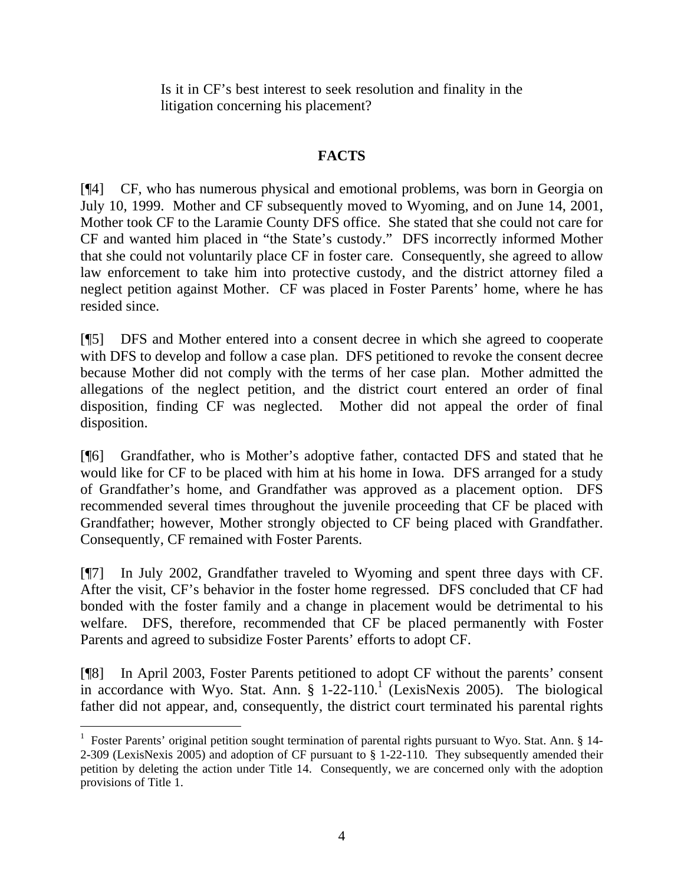Is it in CF's best interest to seek resolution and finality in the litigation concerning his placement?

# **FACTS**

[¶4] CF, who has numerous physical and emotional problems, was born in Georgia on July 10, 1999. Mother and CF subsequently moved to Wyoming, and on June 14, 2001, Mother took CF to the Laramie County DFS office. She stated that she could not care for CF and wanted him placed in "the State's custody." DFS incorrectly informed Mother that she could not voluntarily place CF in foster care. Consequently, she agreed to allow law enforcement to take him into protective custody, and the district attorney filed a neglect petition against Mother. CF was placed in Foster Parents' home, where he has resided since.

[¶5] DFS and Mother entered into a consent decree in which she agreed to cooperate with DFS to develop and follow a case plan. DFS petitioned to revoke the consent decree because Mother did not comply with the terms of her case plan. Mother admitted the allegations of the neglect petition, and the district court entered an order of final disposition, finding CF was neglected. Mother did not appeal the order of final disposition.

[¶6] Grandfather, who is Mother's adoptive father, contacted DFS and stated that he would like for CF to be placed with him at his home in Iowa. DFS arranged for a study of Grandfather's home, and Grandfather was approved as a placement option. DFS recommended several times throughout the juvenile proceeding that CF be placed with Grandfather; however, Mother strongly objected to CF being placed with Grandfather. Consequently, CF remained with Foster Parents.

[¶7] In July 2002, Grandfather traveled to Wyoming and spent three days with CF. After the visit, CF's behavior in the foster home regressed. DFS concluded that CF had bonded with the foster family and a change in placement would be detrimental to his welfare. DFS, therefore, recommended that CF be placed permanently with Foster Parents and agreed to subsidize Foster Parents' efforts to adopt CF.

[¶8] In April 2003, Foster Parents petitioned to adopt CF without the parents' consent in accordance with Wyo. Stat. Ann. § 1-22-110.<sup>1</sup> (LexisNexis 2005). The biological father did not appear, and, consequently, the district court terminated his parental rights

 $\overline{a}$ <sup>1</sup> Foster Parents' original petition sought termination of parental rights pursuant to Wyo. Stat. Ann. § 14-2-309 (LexisNexis 2005) and adoption of CF pursuant to § 1-22-110. They subsequently amended their petition by deleting the action under Title 14. Consequently, we are concerned only with the adoption provisions of Title 1.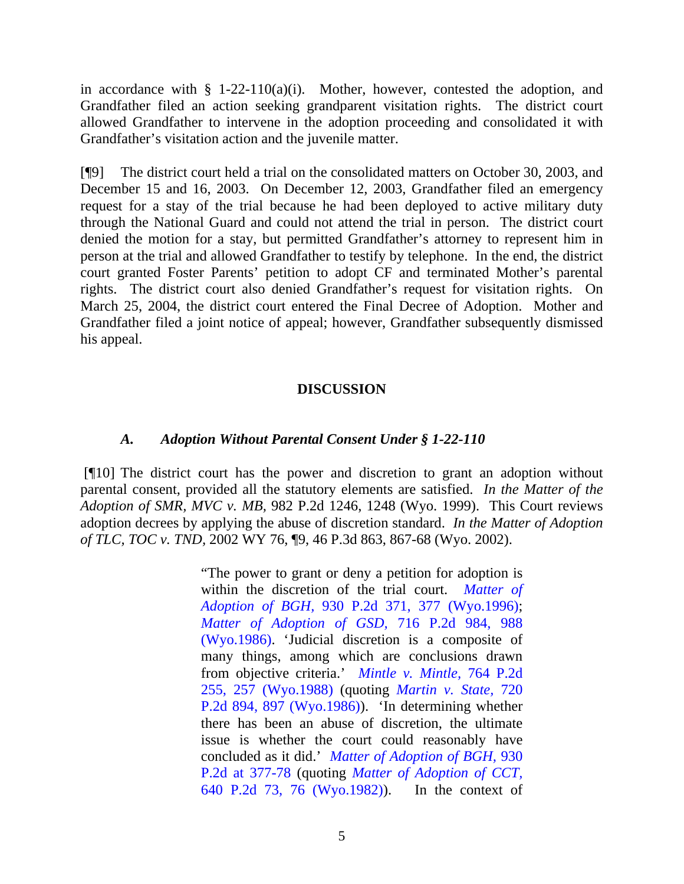in accordance with  $\S$  1-22-110(a)(i). Mother, however, contested the adoption, and Grandfather filed an action seeking grandparent visitation rights. The district court allowed Grandfather to intervene in the adoption proceeding and consolidated it with Grandfather's visitation action and the juvenile matter.

[¶9] The district court held a trial on the consolidated matters on October 30, 2003, and December 15 and 16, 2003. On December 12, 2003, Grandfather filed an emergency request for a stay of the trial because he had been deployed to active military duty through the National Guard and could not attend the trial in person. The district court denied the motion for a stay, but permitted Grandfather's attorney to represent him in person at the trial and allowed Grandfather to testify by telephone. In the end, the district court granted Foster Parents' petition to adopt CF and terminated Mother's parental rights. The district court also denied Grandfather's request for visitation rights. On March 25, 2004, the district court entered the Final Decree of Adoption. Mother and Grandfather filed a joint notice of appeal; however, Grandfather subsequently dismissed his appeal.

## **DISCUSSION**

### *A. Adoption Without Parental Consent Under § 1-22-110*

[¶10] The district court has the power and discretion to grant an adoption without parental consent, provided all the statutory elements are satisfied. *In the Matter of the Adoption of SMR, MVC v. MB,* 982 P.2d 1246, 1248 (Wyo. 1999). This Court reviews adoption decrees by applying the abuse of discretion standard. *In the Matter of Adoption of TLC, TOC v. TND,* 2002 WY 76, ¶9, 46 P.3d 863, 867-68 (Wyo. 2002).

> "The power to grant or deny a petition for adoption is within the discretion of the trial court. *Matter of Adoption of BGH,* 930 P.2d 371, 377 (Wyo.1996); *Matter of Adoption of GSD,* 716 P.2d 984, 988 (Wyo.1986). 'Judicial discretion is a composite of many things, among which are conclusions drawn from objective criteria.' *Mintle v. Mintle,* 764 P.2d 255, 257 (Wyo.1988) (quoting *Martin v. State,* 720 P.2d 894, 897 (Wyo.1986)). 'In determining whether there has been an abuse of discretion, the ultimate issue is whether the court could reasonably have concluded as it did.' *Matter of Adoption of BGH,* 930 P.2d at 377-78 (quoting *Matter of Adoption of CCT,* 640 P.2d 73, 76 (Wyo.1982)). In the context of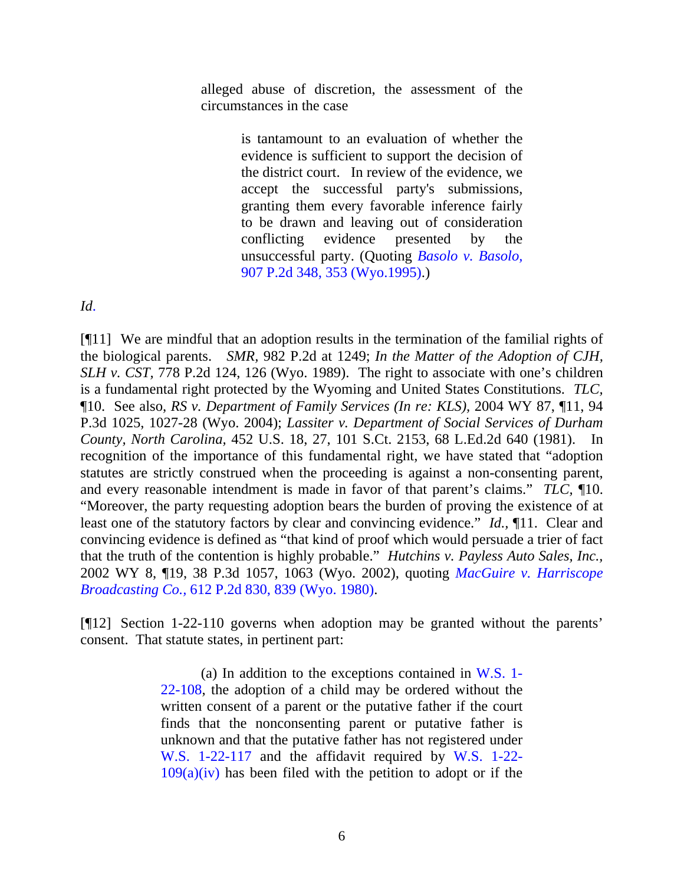alleged abuse of discretion, the assessment of the circumstances in the case

> is tantamount to an evaluation of whether the evidence is sufficient to support the decision of the district court. In review of the evidence, we accept the successful party's submissions, granting them every favorable inference fairly to be drawn and leaving out of consideration conflicting evidence presented by the unsuccessful party. (Quoting *Basolo v. Basolo,* 907 P.2d 348, 353 (Wyo.1995).)

*Id*.

[¶11] We are mindful that an adoption results in the termination of the familial rights of the biological parents. *SMR,* 982 P.2d at 1249; *In the Matter of the Adoption of CJH, SLH v. CST, 778 P.2d 124, 126 (Wyo. 1989). The right to associate with one's children* is a fundamental right protected by the Wyoming and United States Constitutions. *TLC,* ¶10. See also, *RS v. Department of Family Services (In re: KLS),* 2004 WY 87, ¶11, 94 P.3d 1025, 1027-28 (Wyo. 2004); *Lassiter v. Department of Social Services of Durham County, North Carolina,* 452 U.S. 18, 27, 101 S.Ct. 2153, 68 L.Ed.2d 640 (1981). In recognition of the importance of this fundamental right, we have stated that "adoption statutes are strictly construed when the proceeding is against a non-consenting parent, and every reasonable intendment is made in favor of that parent's claims." *TLC,* ¶10. "Moreover, the party requesting adoption bears the burden of proving the existence of at least one of the statutory factors by clear and convincing evidence." *Id.,* ¶11. Clear and convincing evidence is defined as "that kind of proof which would persuade a trier of fact that the truth of the contention is highly probable." *Hutchins v. Payless Auto Sales, Inc.,*  2002 WY 8, ¶19, 38 P.3d 1057, 1063 (Wyo. 2002), quoting *MacGuire v. Harriscope Broadcasting Co.,* 612 P.2d 830, 839 (Wyo. 1980).

[¶12] Section 1-22-110 governs when adoption may be granted without the parents' consent. That statute states, in pertinent part:

> (a) In addition to the exceptions contained in W.S. 1- 22-108, the adoption of a child may be ordered without the written consent of a parent or the putative father if the court finds that the nonconsenting parent or putative father is unknown and that the putative father has not registered under W.S. 1-22-117 and the affidavit required by W.S. 1-22-  $109(a)(iv)$  has been filed with the petition to adopt or if the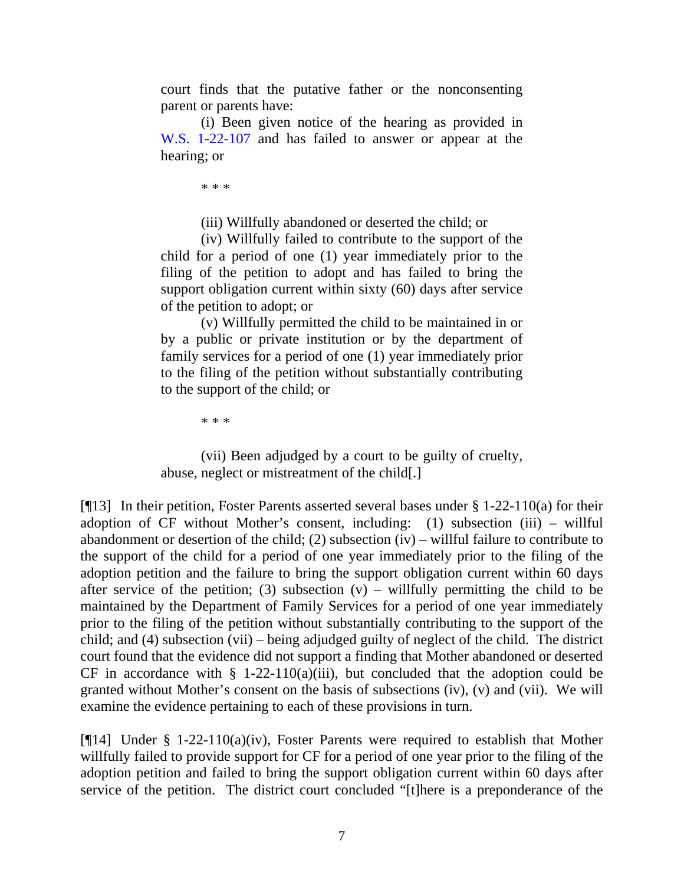court finds that the putative father or the nonconsenting parent or parents have:

(i) Been given notice of the hearing as provided in W.S. 1-22-107 and has failed to answer or appear at the hearing; or

\* \* \*

(iii) Willfully abandoned or deserted the child; or

(iv) Willfully failed to contribute to the support of the child for a period of one (1) year immediately prior to the filing of the petition to adopt and has failed to bring the support obligation current within sixty (60) days after service of the petition to adopt; or

(v) Willfully permitted the child to be maintained in or by a public or private institution or by the department of family services for a period of one (1) year immediately prior to the filing of the petition without substantially contributing to the support of the child; or

\* \* \*

(vii) Been adjudged by a court to be guilty of cruelty, abuse, neglect or mistreatment of the child[.]

[¶13] In their petition, Foster Parents asserted several bases under § 1-22-110(a) for their adoption of CF without Mother's consent, including: (1) subsection (iii) – willful abandonment or desertion of the child; (2) subsection (iv) – willful failure to contribute to the support of the child for a period of one year immediately prior to the filing of the adoption petition and the failure to bring the support obligation current within 60 days after service of the petition; (3) subsection  $(v)$  – willfully permitting the child to be maintained by the Department of Family Services for a period of one year immediately prior to the filing of the petition without substantially contributing to the support of the child; and (4) subsection (vii) – being adjudged guilty of neglect of the child. The district court found that the evidence did not support a finding that Mother abandoned or deserted CF in accordance with  $\S$  1-22-110(a)(iii), but concluded that the adoption could be granted without Mother's consent on the basis of subsections (iv), (v) and (vii). We will examine the evidence pertaining to each of these provisions in turn.

[¶14] Under § 1-22-110(a)(iv), Foster Parents were required to establish that Mother willfully failed to provide support for CF for a period of one year prior to the filing of the adoption petition and failed to bring the support obligation current within 60 days after service of the petition. The district court concluded "[t]here is a preponderance of the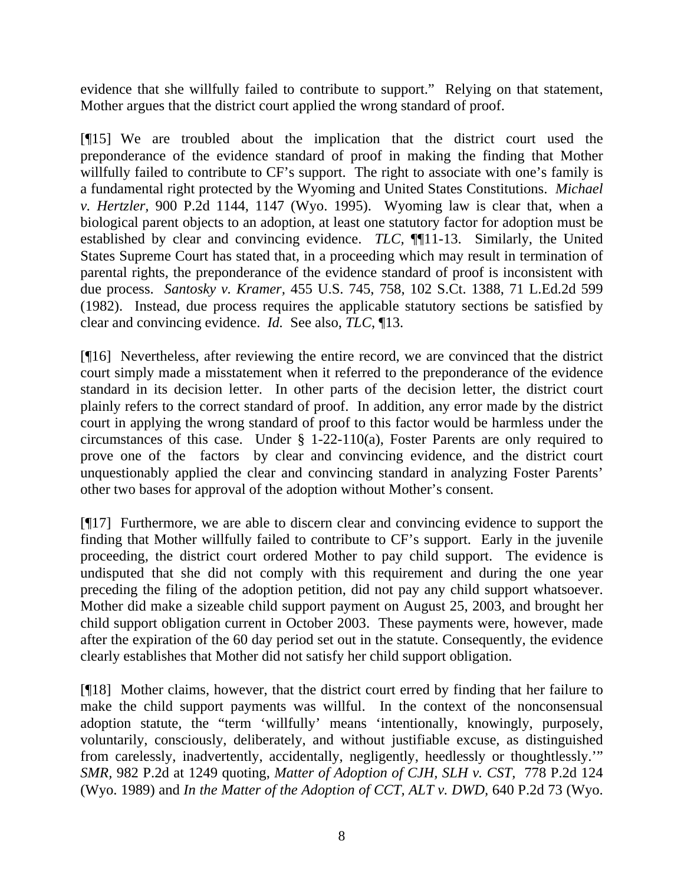evidence that she willfully failed to contribute to support." Relying on that statement, Mother argues that the district court applied the wrong standard of proof.

[¶15] We are troubled about the implication that the district court used the preponderance of the evidence standard of proof in making the finding that Mother willfully failed to contribute to CF's support. The right to associate with one's family is a fundamental right protected by the Wyoming and United States Constitutions. *Michael v. Hertzler,* 900 P.2d 1144, 1147 (Wyo. 1995). Wyoming law is clear that, when a biological parent objects to an adoption, at least one statutory factor for adoption must be established by clear and convincing evidence. *TLC,* ¶¶11-13. Similarly, the United States Supreme Court has stated that, in a proceeding which may result in termination of parental rights, the preponderance of the evidence standard of proof is inconsistent with due process. *Santosky v. Kramer,* 455 U.S. 745, 758, 102 S.Ct. 1388, 71 L.Ed.2d 599 (1982). Instead, due process requires the applicable statutory sections be satisfied by clear and convincing evidence. *Id.* See also, *TLC*, ¶13.

[¶16] Nevertheless, after reviewing the entire record, we are convinced that the district court simply made a misstatement when it referred to the preponderance of the evidence standard in its decision letter. In other parts of the decision letter, the district court plainly refers to the correct standard of proof. In addition, any error made by the district court in applying the wrong standard of proof to this factor would be harmless under the circumstances of this case. Under § 1-22-110(a), Foster Parents are only required to prove one of the factors by clear and convincing evidence, and the district court unquestionably applied the clear and convincing standard in analyzing Foster Parents' other two bases for approval of the adoption without Mother's consent.

[¶17] Furthermore, we are able to discern clear and convincing evidence to support the finding that Mother willfully failed to contribute to CF's support. Early in the juvenile proceeding, the district court ordered Mother to pay child support. The evidence is undisputed that she did not comply with this requirement and during the one year preceding the filing of the adoption petition, did not pay any child support whatsoever. Mother did make a sizeable child support payment on August 25, 2003, and brought her child support obligation current in October 2003. These payments were, however, made after the expiration of the 60 day period set out in the statute. Consequently, the evidence clearly establishes that Mother did not satisfy her child support obligation.

[¶18] Mother claims, however, that the district court erred by finding that her failure to make the child support payments was willful. In the context of the nonconsensual adoption statute, the "term 'willfully' means 'intentionally, knowingly, purposely, voluntarily, consciously, deliberately, and without justifiable excuse, as distinguished from carelessly, inadvertently, accidentally, negligently, heedlessly or thoughtlessly.'" *SMR,* 982 P.2d at 1249 quoting, *Matter of Adoption of CJH, SLH v. CST,* 778 P.2d 124 (Wyo. 1989) and *In the Matter of the Adoption of CCT, ALT v. DWD,* 640 P.2d 73 (Wyo.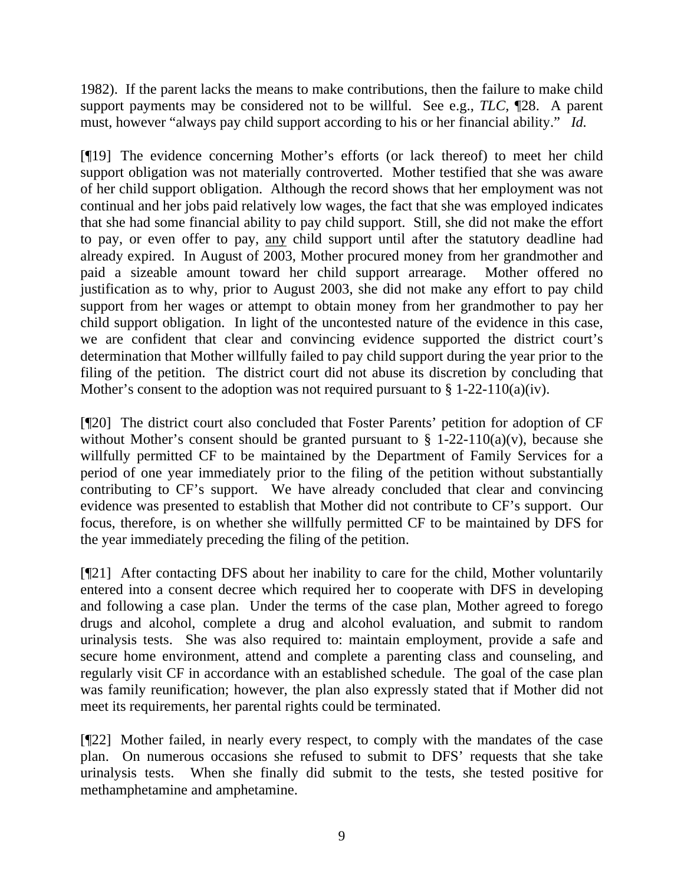1982). If the parent lacks the means to make contributions, then the failure to make child support payments may be considered not to be willful. See e.g., *TLC,* ¶28. A parent must, however "always pay child support according to his or her financial ability." *Id.*

[¶19] The evidence concerning Mother's efforts (or lack thereof) to meet her child support obligation was not materially controverted. Mother testified that she was aware of her child support obligation. Although the record shows that her employment was not continual and her jobs paid relatively low wages, the fact that she was employed indicates that she had some financial ability to pay child support. Still, she did not make the effort to pay, or even offer to pay, any child support until after the statutory deadline had already expired. In August of 2003, Mother procured money from her grandmother and paid a sizeable amount toward her child support arrearage. Mother offered no justification as to why, prior to August 2003, she did not make any effort to pay child support from her wages or attempt to obtain money from her grandmother to pay her child support obligation. In light of the uncontested nature of the evidence in this case, we are confident that clear and convincing evidence supported the district court's determination that Mother willfully failed to pay child support during the year prior to the filing of the petition. The district court did not abuse its discretion by concluding that Mother's consent to the adoption was not required pursuant to  $\S 1-22-110(a)(iv)$ .

[¶20] The district court also concluded that Foster Parents' petition for adoption of CF without Mother's consent should be granted pursuant to  $\S$  1-22-110(a)(v), because she willfully permitted CF to be maintained by the Department of Family Services for a period of one year immediately prior to the filing of the petition without substantially contributing to CF's support. We have already concluded that clear and convincing evidence was presented to establish that Mother did not contribute to CF's support. Our focus, therefore, is on whether she willfully permitted CF to be maintained by DFS for the year immediately preceding the filing of the petition.

[¶21] After contacting DFS about her inability to care for the child, Mother voluntarily entered into a consent decree which required her to cooperate with DFS in developing and following a case plan. Under the terms of the case plan, Mother agreed to forego drugs and alcohol, complete a drug and alcohol evaluation, and submit to random urinalysis tests. She was also required to: maintain employment, provide a safe and secure home environment, attend and complete a parenting class and counseling, and regularly visit CF in accordance with an established schedule. The goal of the case plan was family reunification; however, the plan also expressly stated that if Mother did not meet its requirements, her parental rights could be terminated.

[¶22] Mother failed, in nearly every respect, to comply with the mandates of the case plan. On numerous occasions she refused to submit to DFS' requests that she take urinalysis tests. When she finally did submit to the tests, she tested positive for methamphetamine and amphetamine.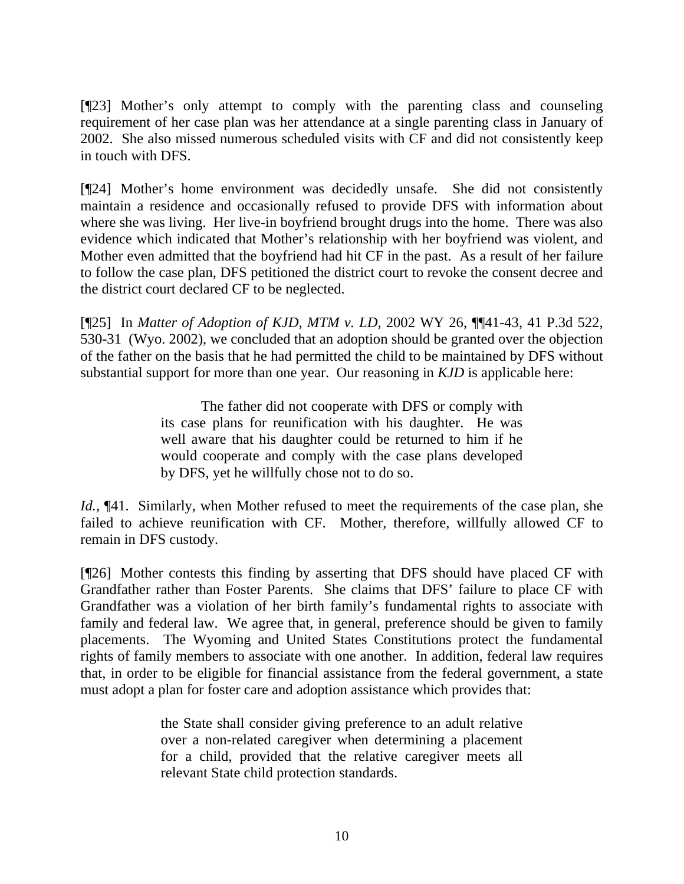[¶23] Mother's only attempt to comply with the parenting class and counseling requirement of her case plan was her attendance at a single parenting class in January of 2002. She also missed numerous scheduled visits with CF and did not consistently keep in touch with DFS.

[¶24] Mother's home environment was decidedly unsafe. She did not consistently maintain a residence and occasionally refused to provide DFS with information about where she was living. Her live-in boyfriend brought drugs into the home. There was also evidence which indicated that Mother's relationship with her boyfriend was violent, and Mother even admitted that the boyfriend had hit CF in the past. As a result of her failure to follow the case plan, DFS petitioned the district court to revoke the consent decree and the district court declared CF to be neglected.

[¶25] In *Matter of Adoption of KJD, MTM v. LD,* 2002 WY 26, ¶¶41-43, 41 P.3d 522, 530-31 (Wyo. 2002), we concluded that an adoption should be granted over the objection of the father on the basis that he had permitted the child to be maintained by DFS without substantial support for more than one year. Our reasoning in *KJD* is applicable here:

> The father did not cooperate with DFS or comply with its case plans for reunification with his daughter. He was well aware that his daughter could be returned to him if he would cooperate and comply with the case plans developed by DFS, yet he willfully chose not to do so.

*Id.*, ¶41. Similarly, when Mother refused to meet the requirements of the case plan, she failed to achieve reunification with CF. Mother, therefore, willfully allowed CF to remain in DFS custody.

[¶26] Mother contests this finding by asserting that DFS should have placed CF with Grandfather rather than Foster Parents. She claims that DFS' failure to place CF with Grandfather was a violation of her birth family's fundamental rights to associate with family and federal law. We agree that, in general, preference should be given to family placements. The Wyoming and United States Constitutions protect the fundamental rights of family members to associate with one another. In addition, federal law requires that, in order to be eligible for financial assistance from the federal government, a state must adopt a plan for foster care and adoption assistance which provides that:

> the State shall consider giving preference to an adult relative over a non-related caregiver when determining a placement for a child, provided that the relative caregiver meets all relevant State child protection standards.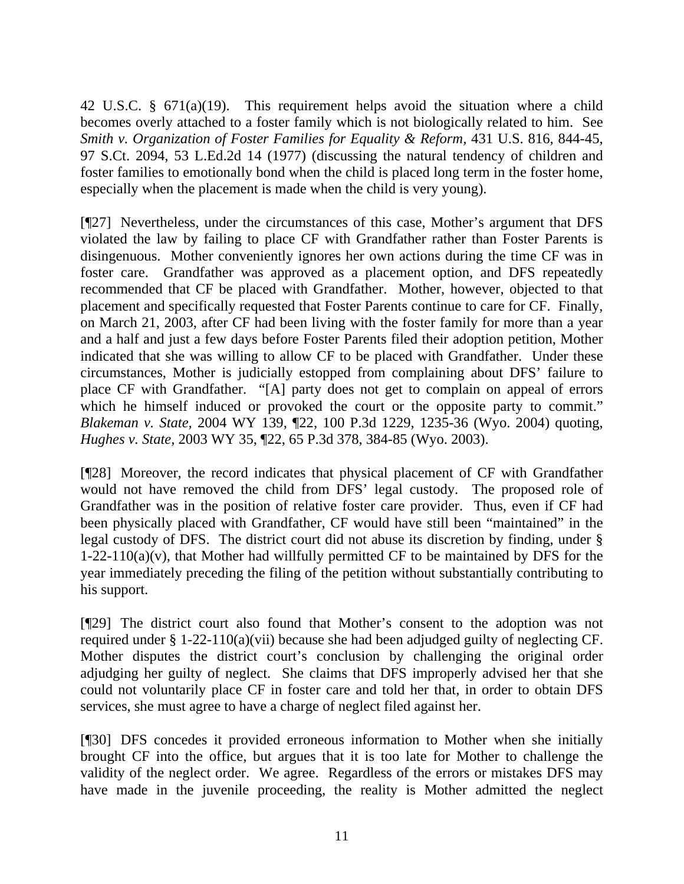42 U.S.C. § 671(a)(19). This requirement helps avoid the situation where a child becomes overly attached to a foster family which is not biologically related to him. See *Smith v. Organization of Foster Families for Equality & Reform, 431 U.S. 816, 844-45,* 97 S.Ct. 2094, 53 L.Ed.2d 14 (1977) (discussing the natural tendency of children and foster families to emotionally bond when the child is placed long term in the foster home, especially when the placement is made when the child is very young).

[¶27] Nevertheless, under the circumstances of this case, Mother's argument that DFS violated the law by failing to place CF with Grandfather rather than Foster Parents is disingenuous. Mother conveniently ignores her own actions during the time CF was in foster care. Grandfather was approved as a placement option, and DFS repeatedly recommended that CF be placed with Grandfather. Mother, however, objected to that placement and specifically requested that Foster Parents continue to care for CF. Finally, on March 21, 2003, after CF had been living with the foster family for more than a year and a half and just a few days before Foster Parents filed their adoption petition, Mother indicated that she was willing to allow CF to be placed with Grandfather. Under these circumstances, Mother is judicially estopped from complaining about DFS' failure to place CF with Grandfather. "[A] party does not get to complain on appeal of errors which he himself induced or provoked the court or the opposite party to commit." *Blakeman v. State,* 2004 WY 139, ¶22, 100 P.3d 1229, 1235-36 (Wyo. 2004) quoting, *Hughes v. State,* 2003 WY 35, ¶22, 65 P.3d 378, 384-85 (Wyo. 2003).

[¶28] Moreover, the record indicates that physical placement of CF with Grandfather would not have removed the child from DFS' legal custody. The proposed role of Grandfather was in the position of relative foster care provider. Thus, even if CF had been physically placed with Grandfather, CF would have still been "maintained" in the legal custody of DFS. The district court did not abuse its discretion by finding, under §  $1-22-110(a)(v)$ , that Mother had willfully permitted CF to be maintained by DFS for the year immediately preceding the filing of the petition without substantially contributing to his support.

[¶29] The district court also found that Mother's consent to the adoption was not required under § 1-22-110(a)(vii) because she had been adjudged guilty of neglecting CF. Mother disputes the district court's conclusion by challenging the original order adjudging her guilty of neglect. She claims that DFS improperly advised her that she could not voluntarily place CF in foster care and told her that, in order to obtain DFS services, she must agree to have a charge of neglect filed against her.

[¶30] DFS concedes it provided erroneous information to Mother when she initially brought CF into the office, but argues that it is too late for Mother to challenge the validity of the neglect order. We agree. Regardless of the errors or mistakes DFS may have made in the juvenile proceeding, the reality is Mother admitted the neglect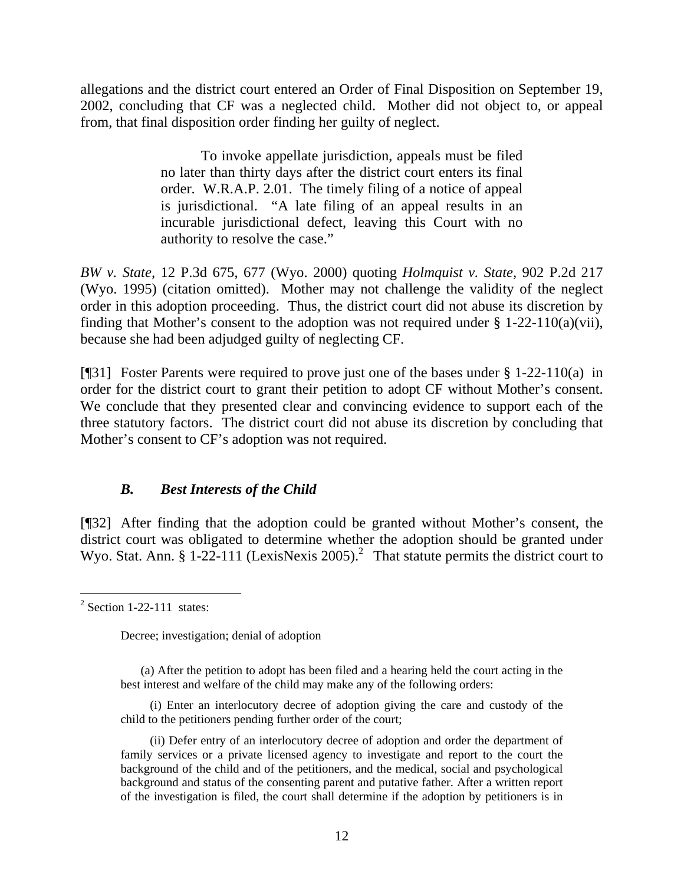allegations and the district court entered an Order of Final Disposition on September 19, 2002, concluding that CF was a neglected child. Mother did not object to, or appeal from, that final disposition order finding her guilty of neglect.

> To invoke appellate jurisdiction, appeals must be filed no later than thirty days after the district court enters its final order. W.R.A.P. 2.01. The timely filing of a notice of appeal is jurisdictional. "A late filing of an appeal results in an incurable jurisdictional defect, leaving this Court with no authority to resolve the case."

*BW v. State,* 12 P.3d 675, 677 (Wyo. 2000) quoting *Holmquist v. State,* 902 P.2d 217 (Wyo. 1995) (citation omitted). Mother may not challenge the validity of the neglect order in this adoption proceeding. Thus, the district court did not abuse its discretion by finding that Mother's consent to the adoption was not required under  $\S$  1-22-110(a)(vii), because she had been adjudged guilty of neglecting CF.

[¶31] Foster Parents were required to prove just one of the bases under § 1-22-110(a) in order for the district court to grant their petition to adopt CF without Mother's consent. We conclude that they presented clear and convincing evidence to support each of the three statutory factors. The district court did not abuse its discretion by concluding that Mother's consent to CF's adoption was not required.

## *B. Best Interests of the Child*

[¶32] After finding that the adoption could be granted without Mother's consent, the district court was obligated to determine whether the adoption should be granted under Wyo. Stat. Ann. § 1-22-111 (LexisNexis 2005).<sup>2</sup> That statute permits the district court to

  $2$  Section 1-22-111 states:

Decree; investigation; denial of adoption

<sup>(</sup>a) After the petition to adopt has been filed and a hearing held the court acting in the best interest and welfare of the child may make any of the following orders:

<sup>(</sup>i) Enter an interlocutory decree of adoption giving the care and custody of the child to the petitioners pending further order of the court;

<sup>(</sup>ii) Defer entry of an interlocutory decree of adoption and order the department of family services or a private licensed agency to investigate and report to the court the background of the child and of the petitioners, and the medical, social and psychological background and status of the consenting parent and putative father. After a written report of the investigation is filed, the court shall determine if the adoption by petitioners is in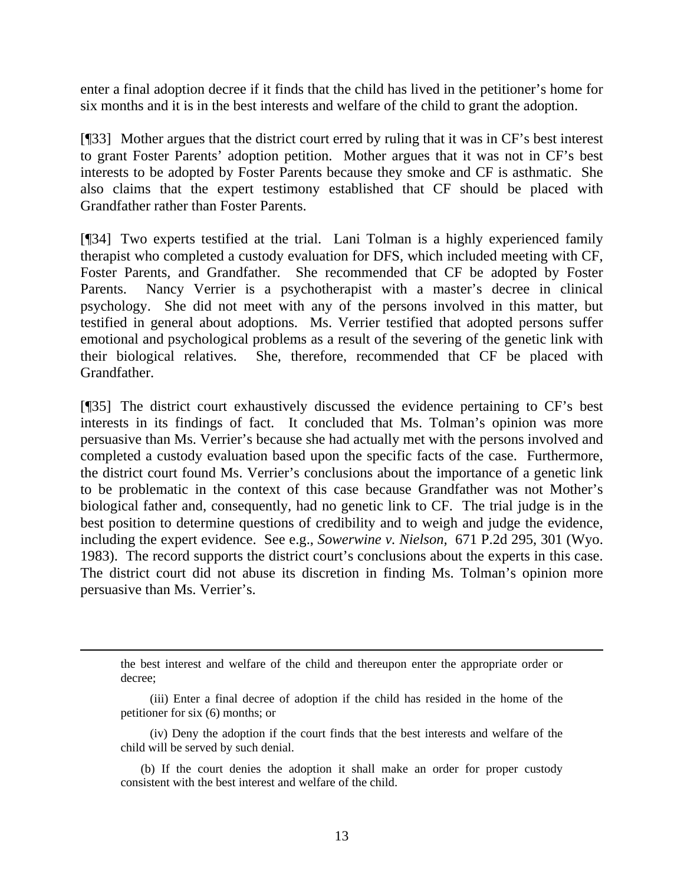enter a final adoption decree if it finds that the child has lived in the petitioner's home for six months and it is in the best interests and welfare of the child to grant the adoption.

[¶33] Mother argues that the district court erred by ruling that it was in CF's best interest to grant Foster Parents' adoption petition. Mother argues that it was not in CF's best interests to be adopted by Foster Parents because they smoke and CF is asthmatic. She also claims that the expert testimony established that CF should be placed with Grandfather rather than Foster Parents.

[¶34] Two experts testified at the trial. Lani Tolman is a highly experienced family therapist who completed a custody evaluation for DFS, which included meeting with CF, Foster Parents, and Grandfather. She recommended that CF be adopted by Foster Parents. Nancy Verrier is a psychotherapist with a master's decree in clinical psychology. She did not meet with any of the persons involved in this matter, but testified in general about adoptions. Ms. Verrier testified that adopted persons suffer emotional and psychological problems as a result of the severing of the genetic link with their biological relatives. She, therefore, recommended that CF be placed with Grandfather.

[¶35] The district court exhaustively discussed the evidence pertaining to CF's best interests in its findings of fact. It concluded that Ms. Tolman's opinion was more persuasive than Ms. Verrier's because she had actually met with the persons involved and completed a custody evaluation based upon the specific facts of the case. Furthermore, the district court found Ms. Verrier's conclusions about the importance of a genetic link to be problematic in the context of this case because Grandfather was not Mother's biological father and, consequently, had no genetic link to CF. The trial judge is in the best position to determine questions of credibility and to weigh and judge the evidence, including the expert evidence. See e.g., *Sowerwine v. Nielson,* 671 P.2d 295, 301 (Wyo. 1983). The record supports the district court's conclusions about the experts in this case. The district court did not abuse its discretion in finding Ms. Tolman's opinion more persuasive than Ms. Verrier's.

the best interest and welfare of the child and thereupon enter the appropriate order or decree;

(iv) Deny the adoption if the court finds that the best interests and welfare of the child will be served by such denial.

(b) If the court denies the adoption it shall make an order for proper custody consistent with the best interest and welfare of the child.

<sup>(</sup>iii) Enter a final decree of adoption if the child has resided in the home of the petitioner for six (6) months; or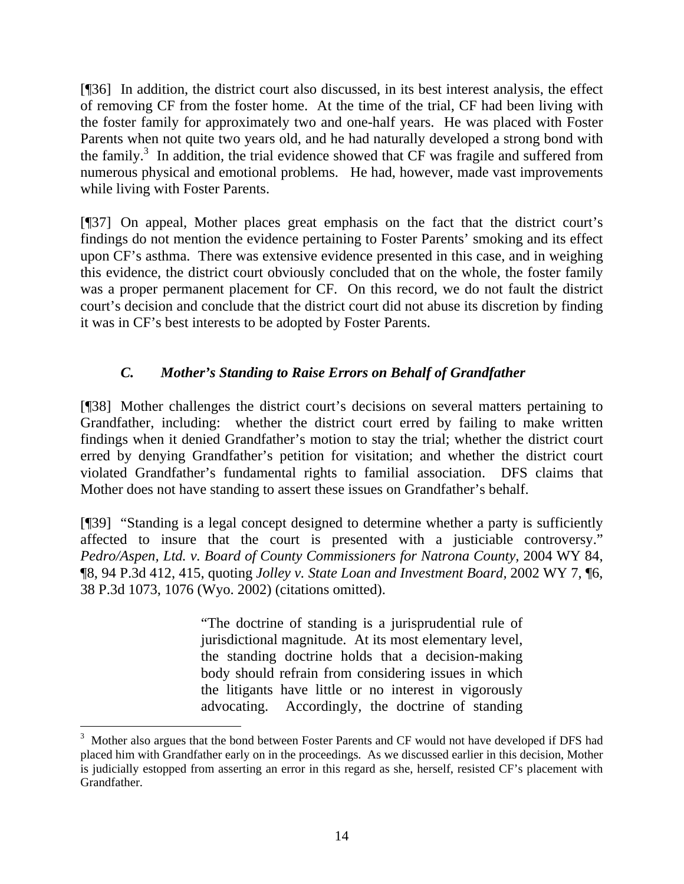[¶36] In addition, the district court also discussed, in its best interest analysis, the effect of removing CF from the foster home. At the time of the trial, CF had been living with the foster family for approximately two and one-half years. He was placed with Foster Parents when not quite two years old, and he had naturally developed a strong bond with the family.<sup>3</sup> In addition, the trial evidence showed that  $CF$  was fragile and suffered from numerous physical and emotional problems. He had, however, made vast improvements while living with Foster Parents.

[¶37] On appeal, Mother places great emphasis on the fact that the district court's findings do not mention the evidence pertaining to Foster Parents' smoking and its effect upon CF's asthma. There was extensive evidence presented in this case, and in weighing this evidence, the district court obviously concluded that on the whole, the foster family was a proper permanent placement for CF. On this record, we do not fault the district court's decision and conclude that the district court did not abuse its discretion by finding it was in CF's best interests to be adopted by Foster Parents.

# *C. Mother's Standing to Raise Errors on Behalf of Grandfather*

[¶38] Mother challenges the district court's decisions on several matters pertaining to Grandfather, including: whether the district court erred by failing to make written findings when it denied Grandfather's motion to stay the trial; whether the district court erred by denying Grandfather's petition for visitation; and whether the district court violated Grandfather's fundamental rights to familial association. DFS claims that Mother does not have standing to assert these issues on Grandfather's behalf.

[¶39] "Standing is a legal concept designed to determine whether a party is sufficiently affected to insure that the court is presented with a justiciable controversy." *Pedro/Aspen, Ltd. v. Board of County Commissioners for Natrona County,* 2004 WY 84, ¶8, 94 P.3d 412, 415, quoting *Jolley v. State Loan and Investment Board,* 2002 WY 7, ¶6, 38 P.3d 1073, 1076 (Wyo. 2002) (citations omitted).

> "The doctrine of standing is a jurisprudential rule of jurisdictional magnitude. At its most elementary level, the standing doctrine holds that a decision-making body should refrain from considering issues in which the litigants have little or no interest in vigorously advocating. Accordingly, the doctrine of standing

 $\overline{a}$ 

<sup>&</sup>lt;sup>3</sup> Mother also argues that the bond between Foster Parents and CF would not have developed if DFS had placed him with Grandfather early on in the proceedings. As we discussed earlier in this decision, Mother is judicially estopped from asserting an error in this regard as she, herself, resisted CF's placement with Grandfather.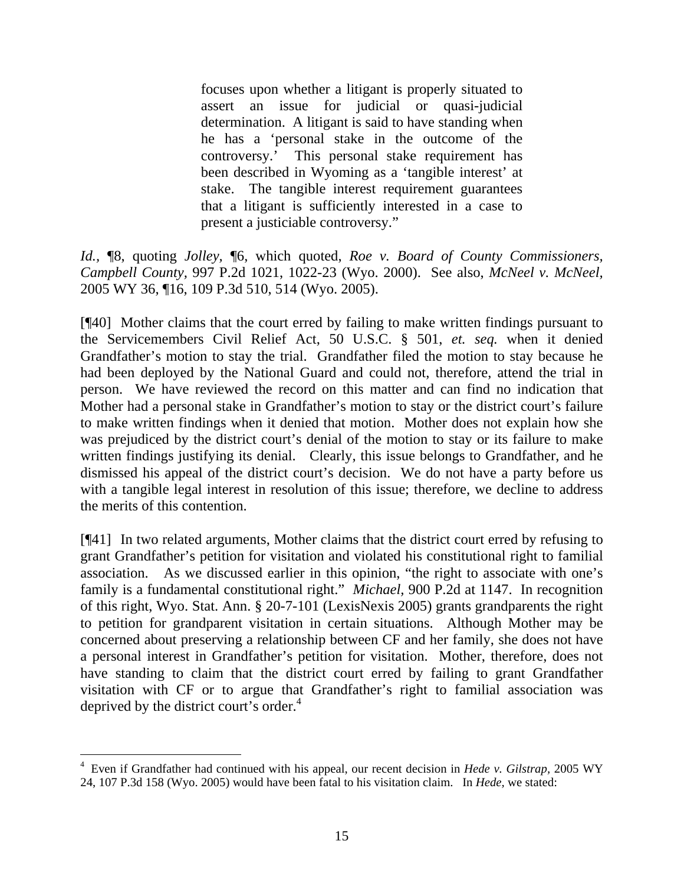focuses upon whether a litigant is properly situated to assert an issue for judicial or quasi-judicial determination. A litigant is said to have standing when he has a 'personal stake in the outcome of the controversy.' This personal stake requirement has been described in Wyoming as a 'tangible interest' at stake. The tangible interest requirement guarantees that a litigant is sufficiently interested in a case to present a justiciable controversy."

*Id.,* ¶8, quoting *Jolley,* ¶6, which quoted, *Roe v. Board of County Commissioners, Campbell County,* 997 P.2d 1021, 1022-23 (Wyo. 2000). See also, *McNeel v. McNeel,*  2005 WY 36, ¶16, 109 P.3d 510, 514 (Wyo. 2005).

[¶40] Mother claims that the court erred by failing to make written findings pursuant to the Servicemembers Civil Relief Act, 50 U.S.C. § 501, *et. seq.* when it denied Grandfather's motion to stay the trial. Grandfather filed the motion to stay because he had been deployed by the National Guard and could not, therefore, attend the trial in person. We have reviewed the record on this matter and can find no indication that Mother had a personal stake in Grandfather's motion to stay or the district court's failure to make written findings when it denied that motion. Mother does not explain how she was prejudiced by the district court's denial of the motion to stay or its failure to make written findings justifying its denial. Clearly, this issue belongs to Grandfather, and he dismissed his appeal of the district court's decision. We do not have a party before us with a tangible legal interest in resolution of this issue; therefore, we decline to address the merits of this contention.

[¶41] In two related arguments, Mother claims that the district court erred by refusing to grant Grandfather's petition for visitation and violated his constitutional right to familial association. As we discussed earlier in this opinion, "the right to associate with one's family is a fundamental constitutional right." *Michael,* 900 P.2d at 1147. In recognition of this right, Wyo. Stat. Ann. § 20-7-101 (LexisNexis 2005) grants grandparents the right to petition for grandparent visitation in certain situations. Although Mother may be concerned about preserving a relationship between CF and her family, she does not have a personal interest in Grandfather's petition for visitation. Mother, therefore, does not have standing to claim that the district court erred by failing to grant Grandfather visitation with CF or to argue that Grandfather's right to familial association was deprived by the district court's order.<sup>4</sup>

<sup>4</sup> Even if Grandfather had continued with his appeal, our recent decision in *Hede v. Gilstrap,* 2005 WY 24, 107 P.3d 158 (Wyo. 2005) would have been fatal to his visitation claim. In *Hede,* we stated: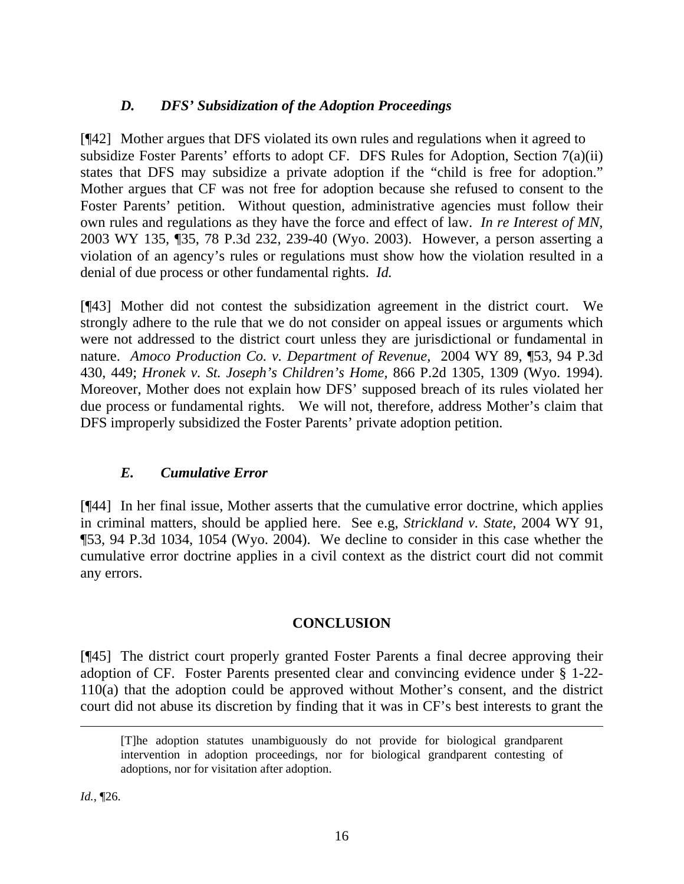# *D. DFS' Subsidization of the Adoption Proceedings*

[¶42] Mother argues that DFS violated its own rules and regulations when it agreed to subsidize Foster Parents' efforts to adopt CF. DFS Rules for Adoption, Section 7(a)(ii) states that DFS may subsidize a private adoption if the "child is free for adoption." Mother argues that CF was not free for adoption because she refused to consent to the Foster Parents' petition. Without question, administrative agencies must follow their own rules and regulations as they have the force and effect of law. *In re Interest of MN,* 2003 WY 135, ¶35, 78 P.3d 232, 239-40 (Wyo. 2003). However, a person asserting a violation of an agency's rules or regulations must show how the violation resulted in a denial of due process or other fundamental rights. *Id.*

[¶43] Mother did not contest the subsidization agreement in the district court. We strongly adhere to the rule that we do not consider on appeal issues or arguments which were not addressed to the district court unless they are jurisdictional or fundamental in nature. *Amoco Production Co. v. Department of Revenue,* 2004 WY 89, ¶53, 94 P.3d 430, 449; *Hronek v. St. Joseph's Children's Home,* 866 P.2d 1305, 1309 (Wyo. 1994). Moreover, Mother does not explain how DFS' supposed breach of its rules violated her due process or fundamental rights. We will not, therefore, address Mother's claim that DFS improperly subsidized the Foster Parents' private adoption petition.

## *E. Cumulative Error*

[¶44] In her final issue, Mother asserts that the cumulative error doctrine, which applies in criminal matters, should be applied here. See e.g, *Strickland v. State,* 2004 WY 91, ¶53, 94 P.3d 1034, 1054 (Wyo. 2004). We decline to consider in this case whether the cumulative error doctrine applies in a civil context as the district court did not commit any errors.

## **CONCLUSION**

[¶45] The district court properly granted Foster Parents a final decree approving their adoption of CF. Foster Parents presented clear and convincing evidence under § 1-22- 110(a) that the adoption could be approved without Mother's consent, and the district court did not abuse its discretion by finding that it was in CF's best interests to grant the

*Id.*, ¶26.

 $\overline{a}$ 

<sup>[</sup>T]he adoption statutes unambiguously do not provide for biological grandparent intervention in adoption proceedings, nor for biological grandparent contesting of adoptions, nor for visitation after adoption.